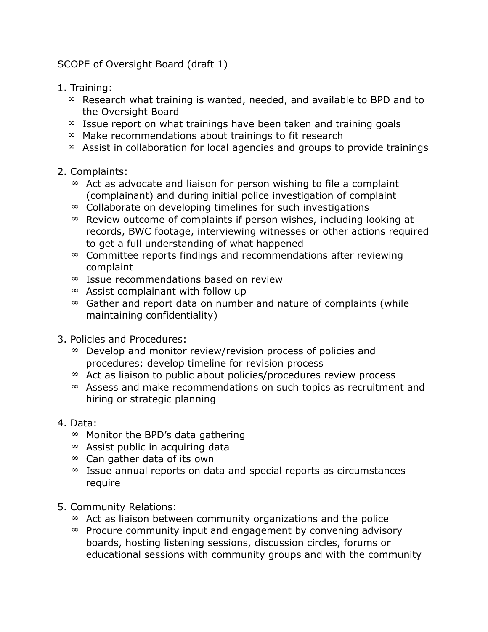SCOPE of Oversight Board (draft 1)

- 1. Training:
	- $\infty$  Research what training is wanted, needed, and available to BPD and to the Oversight Board
	- $\infty$  Issue report on what trainings have been taken and training goals
	- $\infty$  Make recommendations about trainings to fit research
	- $\infty$  Assist in collaboration for local agencies and groups to provide trainings

## 2. Complaints:

- $\infty$  Act as advocate and liaison for person wishing to file a complaint (complainant) and during initial police investigation of complaint
- $\infty$  Collaborate on developing timelines for such investigations
- $\infty$  Review outcome of complaints if person wishes, including looking at records, BWC footage, interviewing witnesses or other actions required to get a full understanding of what happened
- $\infty$  Committee reports findings and recommendations after reviewing complaint
- $\infty$  Issue recommendations based on review
- $\infty$  Assist complainant with follow up
- $\infty$  Gather and report data on number and nature of complaints (while maintaining confidentiality)
- 3. Policies and Procedures:
	- $\infty$  Develop and monitor review/revision process of policies and procedures; develop timeline for revision process
	- $\infty$  Act as liaison to public about policies/procedures review process
	- $\infty$  Assess and make recommendations on such topics as recruitment and hiring or strategic planning
- 4. Data:
	- $\infty$  Monitor the BPD's data gathering
	- $\infty$  Assist public in acquiring data
	- $\infty$  Can gather data of its own
	- $\infty$  Issue annual reports on data and special reports as circumstances require
- 5. Community Relations:
	- $\infty$  Act as liaison between community organizations and the police
	- $\infty$  Procure community input and engagement by convening advisory boards, hosting listening sessions, discussion circles, forums or educational sessions with community groups and with the community